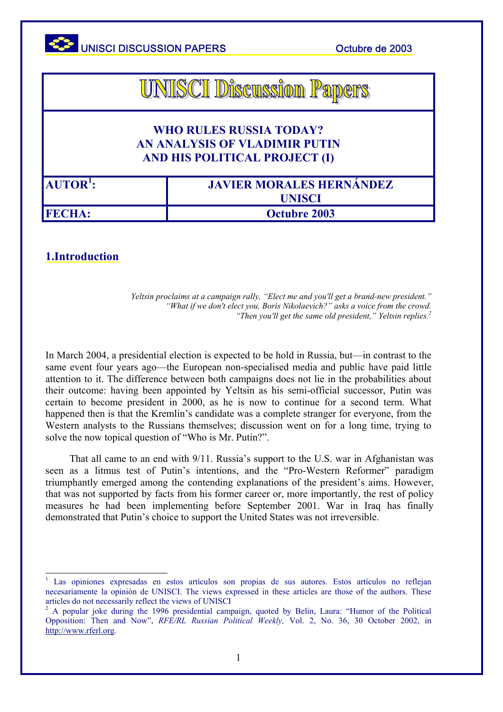

UNISCI DISCUSSION PAPERS Octubre de 2003

**UNISCI Discussion Papers** 

## **WHO RULES RUSSIA TODAY? AN ANALYSIS OF VLADIMIR PUTIN AND HIS POLITICAL PROJECT (I)**

| AUTOR <sup>1</sup> : | <b>JAVIER MORALES HERNÁNDEZ</b><br><b>UNISCI</b> |
|----------------------|--------------------------------------------------|
| <b>FECHA:</b>        | <b>Octubre 2003</b>                              |

## **1.Introduction**

*Yeltsin proclaims at a campaign rally, "Elect me and you'll get a brand-new president." "What if we don't elect you, Boris Nikolaevich?" asks a voice from the crowd. "Then you'll get the same old president," Yeltsin replies.2*

In March 2004, a presidential election is expected to be hold in Russia, but—in contrast to the same event four years ago—the European non-specialised media and public have paid little attention to it. The difference between both campaigns does not lie in the probabilities about their outcome: having been appointed by Yeltsin as his semi-official successor, Putin was certain to become president in 2000, as he is now to continue for a second term. What happened then is that the Kremlin's candidate was a complete stranger for everyone, from the Western analysts to the Russians themselves; discussion went on for a long time, trying to solve the now topical question of "Who is Mr. Putin?".

That all came to an end with 9/11. Russia's support to the U.S. war in Afghanistan was seen as a litmus test of Putin's intentions, and the "Pro-Western Reformer" paradigm triumphantly emerged among the contending explanations of the president's aims. However, that was not supported by facts from his former career or, more importantly, the rest of policy measures he had been implementing before September 2001. War in Iraq has finally demonstrated that Putin's choice to support the United States was not irreversible.

 <sup>1</sup> Las opiniones expresadas en estos artículos son propias de sus autores. Estos artículos no reflejan necesariamente la opinión de UNISCI. The views expressed in these articles are those of the authors. These articles do not necessarily reflect the views of UNISCI<br><sup>2</sup> A popular joke during the 1996 presidential campaign, quoted by Belin, Laura: "Humor of the Political

Opposition: Then and Now", *RFE/RL Russian Political Weekly,* Vol. 2, No. 36, 30 October 2002, in http://www.rferl.org.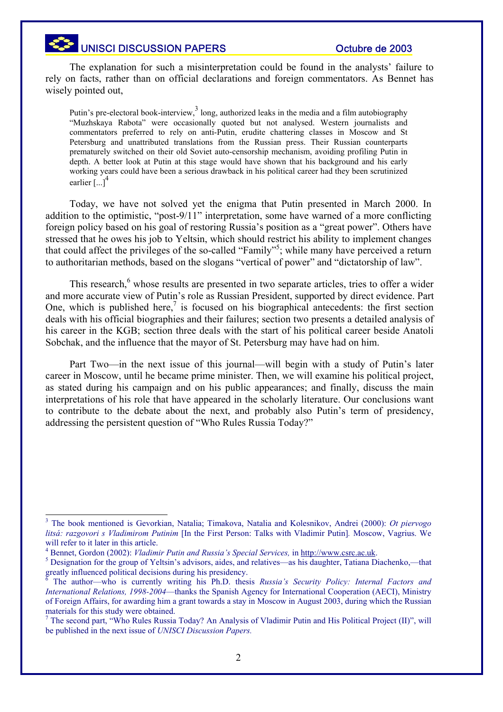## UNISCI DISCUSSION PAPERS CONSIDERADE CONSIDERED Octubre de 2003

The explanation for such a misinterpretation could be found in the analysts' failure to rely on facts, rather than on official declarations and foreign commentators. As Bennet has wisely pointed out,

Putin's pre-electoral book-interview,  $3 \text{ long}$ , authorized leaks in the media and a film autobiography "Muzhskaya Rabota" were occas[io](#page-1-0)nally quoted but not analysed. Western journalists and commentators preferred to rely on anti-Putin, erudite chattering classes in Moscow and St Petersburg and unattributed translations from the Russian press. Their Russian counterparts prematurely switched on their old Soviet auto-censorship mechanism, avoiding profiling Putin in depth. A better look at Putin at this stage would have shown that his background and his early working years could have been a serious drawback in his political career had they been scrutinized earlier  $\left[\ldots\right]^4$ 

Today, [w](#page-1-1)e have not solved yet the enigma that Putin presented in March 2000. In addition to the optimistic, "post-9/11" interpretation, some have warned of a more conflicting foreign policy based on his goal of restoring Russia's position as a "great power". Others have stressed that he owes his job to Yeltsin, which should restrict his ability to implement changes that could affect the privileges of the so-called "Family"<sup>5</sup>; while many have perceived a return to authoritarian methods, based on the slogans "vertical [of](#page-1-2) power" and "dictatorship of law".

This research, $6$  whose results are presented in two separate articles, tries to offer a wider and more accurate [vie](#page-1-3)w of Putin's role as Russian President, supported by direct evidence. Part One, which is published here,<sup>7</sup> is focused on his biographical antecedents: the first section deals with his official biograph[ie](#page-1-4)s and their failures; section two presents a detailed analysis of his career in the KGB; section three deals with the start of his political career beside Anatoli Sobchak, and the influence that the mayor of St. Petersburg may have had on him.

Part Two—in the next issue of this journal—will begin with a study of Putin's later career in Moscow, until he became prime minister. Then, we will examine his political project, as stated during his campaign and on his public appearances; and finally, discuss the main interpretations of his role that have appeared in the scholarly literature. Our conclusions want to contribute to the debate about the next, and probably also Putin's term of presidency, addressing the persistent question of "Who Rules Russia Today?"

 <sup>3</sup> The book mentioned is Gevorkian, Natalia; Timakova, Natalia and Kolesnikov, Andrei (2000): *Ot piervogo litsá: razgovori s Vladimirom Putinim* [In the First Person: Talks with Vladimir Putin]*.* Moscow, Vagrius. We

<span id="page-1-0"></span>will refer to it later in this article.<br><sup>4</sup> Bennet, Gordon (2002): *Vladimir Putin and Russia's Special Services*, in http://www.csrc.ac.uk.

<span id="page-1-1"></span><sup>&</sup>lt;sup>5</sup> Designation for the group of Yeltsin's advisors, aides, and relatives—as his daughter, Tatiana Diachenko,—that greatly influenced political decisions during his presidency. 6

<span id="page-1-3"></span><span id="page-1-2"></span>The author—who is currently writing his Ph.D. thesis *Russia's Security Policy: Internal Factors and International Relations, 1998-2004*—thanks the Spanish Agency for International Cooperation (AECI), Ministry of Foreign Affairs, for awarding him a grant towards a stay in Moscow in August 2003, during which the Russian materials for this study were obtained.

<span id="page-1-4"></span><sup>7</sup> The second part, "Who Rules Russia Today? An Analysis of Vladimir Putin and His Political Project (II)", will be published in the next issue of *UNISCI Discussion Papers.*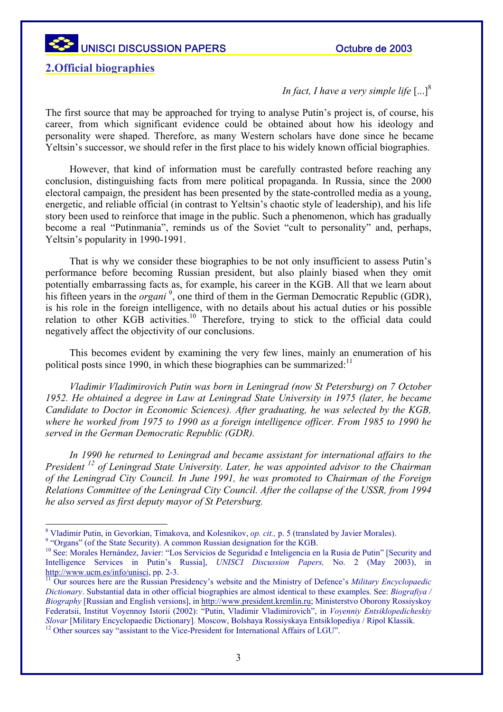### **2.Official biographies**

### *In fact, I have a very simple life*  $\lceil ... \rceil^8$

The first source that may be approached for trying to analyse Putin's project is, of course, h[is](#page-2-0)  career, from which significant evidence could be obtained about how his ideology and personality were shaped. Therefore, as many Western scholars have done since he became Yeltsin's successor, we should refer in the first place to his widely known official biographies.

However, that kind of information must be carefully contrasted before reaching any conclusion, distinguishing facts from mere political propaganda. In Russia, since the 2000 electoral campaign, the president has been presented by the state-controlled media as a young, energetic, and reliable official (in contrast to Yeltsin's chaotic style of leadership), and his life story been used to reinforce that image in the public. Such a phenomenon, which has gradually become a real "Putinmania", reminds us of the Soviet "cult to personality" and, perhaps, Yeltsin's popularity in 1990-1991.

That is why we consider these biographies to be not only insufficient to assess Putin's performance before becoming Russian president, but also plainly biased when they omit potentially embarrassing facts as, for example, his career in the KGB. All that we learn about his fifteen years in the *organi*<sup>9</sup>, one third of them in the German Democratic Republic (GDR), is his role in the foreign inte[lli](#page-2-1)gence, with no details about his actual duties or his possible relation to other KGB activities.<sup>10</sup> Therefore, trying to stick to the official data could negatively affect the objectivity of [ou](#page-2-2)r conclusions.

This becomes evident by examining the very few lines, mainly an enumeration of his political posts since 1990, in which these biographies can be summarized: $11$ 

*Vladimir Vladimirovich Putin was born in Leningrad (now St Pete[rsb](#page-2-3)urg) on 7 October 1952. He obtained a degree in Law at Leningrad State University in 1975 (later, he became Candidate to Doctor in Economic Sciences). After graduating, he was selected by the KGB, where he worked from 1975 to 1990 as a foreign intelligence officer. From 1985 to 1990 he served in the German Democratic Republic (GDR).* 

*In 1990 he returned to Leningrad and became assistant for international affairs to the President 12 of Leningrad State University. Later, he was appointed advisor to the Chairman of the Le[ning](#page-2-4)rad City Council. In June 1991, he was promoted to Chairman of the Foreign Relations Committee of the Leningrad City Council. After the collapse of the USSR, from 1994 he also served as first deputy mayor of St Petersburg.* 

<span id="page-2-4"></span><sup>12</sup> Other sources say "assistant to the Vice-President for International Affairs of LGU".

 <sup>8</sup> <sup>8</sup> Vladimir Putin, in Gevorkian, Timakova, and Kolesnikov, *op. cit.*, p. 5 (translated by Javier Morales). <sup>9</sup> "Organs" (of the State Security). A common Russian designation for the KGB.

<span id="page-2-1"></span><span id="page-2-0"></span><sup>&</sup>lt;sup>10</sup> See: Morales Hernández, Javier: "Los Servicios de Seguridad e Inteligencia en la Rusia de Putin" [Security and Intelligence Services in Putin's Russia], *UNISCI Discussion Papers,* No. 2 (May 2003), in http://www.ucm.es/info/unisci, pp. 2-3. 11 Our sources here are the Russian Presidency's website and the Ministry of Defence's *Military Encyclopaedic* 

<span id="page-2-3"></span><span id="page-2-2"></span>*Dictionary*. Substantial data in other official biographies are almost identical to these examples. See: *Biografiya / Biography* [Russian and English versions], in http://www.president.kremlin.ru; Ministerstvo Oborony Rossiyskoy Federatsii, Institut Voyennoy Istorii (2002): "Putin, Vladimir Vladimirovich", in *Voyenniy Entsiklopedicheskiy Slovar* [Military Encyclopaedic Dictionary]*.* Moscow, Bolshaya Rossiyskaya Entsiklopediya / Ripol Klassik.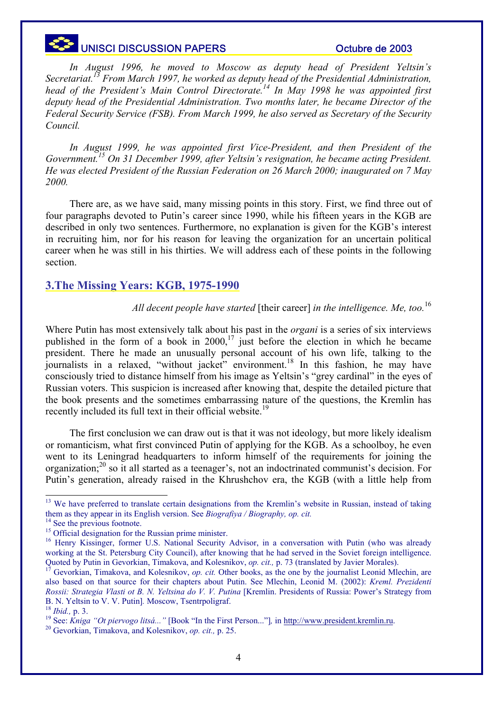

*In August 1996, he moved to Moscow as deputy head of President Yeltsin's Secretariat.13 From March 1997, he worked as deputy head of the Presidential Administration, head of th[e P](#page-3-0)resident's Main Control Directorate.14 In May 1998 he was appointed first deputy head of the Presidential Administration. Two [m](#page-3-1)onths later, he became Director of the Federal Security Service (FSB). From March 1999, he also served as Secretary of the Security Council.* 

*In August 1999, he was appointed first Vice-President, and then President of the Government.15 On 31 December 1999, after Yeltsin's resignation, he became acting President. He was elect[ed](#page-3-2) President of the Russian Federation on 26 March 2000; inaugurated on 7 May 2000.* 

There are, as we have said, many missing points in this story. First, we find three out of four paragraphs devoted to Putin's career since 1990, while his fifteen years in the KGB are described in only two sentences. Furthermore, no explanation is given for the KGB's interest in recruiting him, nor for his reason for leaving the organization for an uncertain political career when he was still in his thirties. We will address each of these points in the following section.

### **3.The Missing Years: KGB, 1975-1990**

### *All decent people have started* [their career] *in the intelligence. Me, too.*<sup>16</sup>

Where Putin has most extensively talk about his past in the *organi* is a series of six intervie[ws](#page-3-3)  published in the form of a book in  $2000$ ,<sup>17</sup> just before the election in which he became president. There he made an unusually p[ers](#page-3-4)onal account of his own life, talking to the journalists in a relaxed, "without jacket" environment.<sup>18</sup> In this fashion, he may have consciously tried to distance himself from his image as Ye[ltsi](#page-3-5)n's "grey cardinal" in the eyes of Russian voters. This suspicion is increased after knowing that, despite the detailed picture that the book presents and the sometimes embarrassing nature of the questions, the Kremlin has recently included its full text in their official website.<sup>19</sup>

The first conclusion we can draw out is that it [wa](#page-3-6)s not ideology, but more likely idealism or romanticism, what first convinced Putin of applying for the KGB. As a schoolboy, he even went to its Leningrad headquarters to inform himself of the requirements for joining the organization;20 so it all started as a teenager's, not an indoctrinated communist's decision. For Putin's gene[rat](#page-3-7)ion, already raised in the Khrushchov era, the KGB (with a little help from

<span id="page-3-0"></span>

<sup>&</sup>lt;sup>13</sup> We have preferred to translate certain designations from the Kremlin's website in Russian, instead of taking them as they appear in its English version. See *Biografiya / Biography, op. cit.*<br><sup>14</sup> See the previous footnote.<br><sup>15</sup> Official designation for the Russian prime minister.<br><sup>15</sup> Henry Kissinger, former U.S. National Securi

<span id="page-3-1"></span>

<span id="page-3-2"></span>working at the St. Petersburg City Council), after knowing that he had served in the Soviet foreign intelligence. Quoted by Putin in Gevorkian, Timakova, and Kolesnikov, op. cit., p. 73 (translated by Javier Morales).<br><sup>17</sup> Gevorkian, Timakova, and Kolesnikov, op. cit. Other books, as the one by the journalist Leonid Mlechin, are

<span id="page-3-4"></span><span id="page-3-3"></span>also based on that source for their chapters about Putin. See Mlechin, Leonid M. (2002): *Kreml. Prezidenti Rossii: Strategia Vlasti ot B. N. Yeltsina do V. V. Putina* [Kremlin. Presidents of Russia: Power's Strategy from B. N. Yeltsin to V. V. Putin]. Moscow, Tsentrpoligraf.<br><sup>18</sup> *Ibid.*, p. 3. 19 See: *Kniga "Ot piervogo litsá...*" [Book "In the First Person..."], in <u>http://www.president.kremlin.ru</u>.

<span id="page-3-7"></span><span id="page-3-6"></span><span id="page-3-5"></span><sup>20</sup> Gevorkian, Timakova, and Kolesnikov, *op. cit.,* p. 25.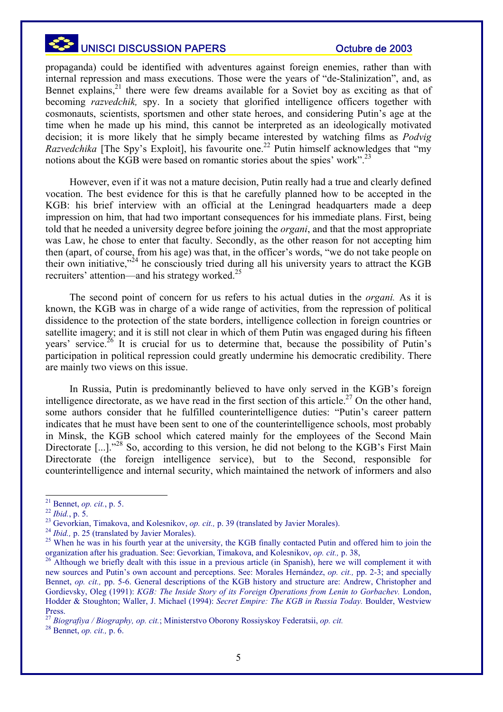

## UNISCI DISCUSSION PAPERS CONSIDERADE CONSIDERED Octubre de 2003

propaganda) could be identified with adventures against foreign enemies, rather than with internal repression and mass executions. Those were the years of "de-Stalinization", and, as Bennet explains,  $2<sup>1</sup>$  there were few dreams available for a Soviet boy as exciting as that of becoming *razvedchik,* spy. In a society that glorified intelligence officers together with cosmonauts, sci[ent](#page-4-0)ists, sportsmen and other state heroes, and considering Putin's age at the time when he made up his mind, this cannot be interpreted as an ideologically motivated decision; it is more likely that he simply became interested by watching films as *Podvig Razvedchika* [The Spy's Exploit], his favourite one.<sup>22</sup> Putin himself acknowledges that "my notions about the KGB were based on romantic stori[es a](#page-4-1)bout the spies' work".<sup>23</sup>

However, even if it was not a mature decision, Putin really had a true an[d c](#page-4-2)learly defined vocation. The best evidence for this is that he carefully planned how to be accepted in the KGB: his brief interview with an official at the Leningrad headquarters made a deep impression on him, that had two important consequences for his immediate plans. First, being told that he needed a university degree before joining the *organi*, and that the most appropriate was Law, he chose to enter that faculty. Secondly, as the other reason for not accepting him then (apart, of course, from his age) was that, in the officer's words, "we do not take people on their own initiative, $^{24}$  he consciously tried during all his university years to attract the KGB recruiters' attention[—a](#page-4-3)nd his strategy worked.25

The second point of concern for us re[fer](#page-4-4)s to his actual duties in the *organi.* As it is known, the KGB was in charge of a wide range of activities, from the repression of political dissidence to the protection of the state borders, intelligence collection in foreign countries or satellite imagery; and it is still not clear in which of them Putin was engaged during his fifteen years' service.<sup>26</sup> It is crucial for us to determine that, because the possibility of Putin's participation i[n p](#page-4-5)olitical repression could greatly undermine his democratic credibility. There are mainly two views on this issue.

In Russia, Putin is predominantly believed to have only served in the KGB's foreign intelligence directorate, as we have read in the first section of this article.<sup>27</sup> On the other hand, some authors consider that he fulfilled counterintelligence duties: "P[uti](#page-4-6)n's career pattern indicates that he must have been sent to one of the counterintelligence schools, most probably in Minsk, the KGB school which catered mainly for the employees of the Second Main Directorate  $\left[\ldots\right]$ .<sup>28</sup> So, according to this version, he did not belong to the KGB's First Main Directorate (th[e](#page-4-7) foreign intelligence service), but to the Second, responsible for counterintelligence and internal security, which maintained the network of informers and also

<span id="page-4-0"></span>

<span id="page-4-1"></span>

<span id="page-4-3"></span><span id="page-4-2"></span>

<sup>&</sup>lt;sup>21</sup> Bennet, *op. cit.*, p. 5.<br><sup>22</sup> Ibid., p. 5.<br><sup>23</sup> Gevorkian, Timakova, and Kolesnikov, *op. cit.*, p. 39 (translated by Javier Morales).<br><sup>24</sup> Ibid., p. 25 (translated by Javier Morales).<br><sup>25</sup> When he was in his fourth organization after his graduation. See: Gevorkian, Timakova, and Kolesnikov, *op. cit.,* p. 38, 26 Although we briefly dealt with this issue in a previous article (in Spanish), here we will complement it with

<span id="page-4-5"></span><span id="page-4-4"></span>new sources and Putin's own account and perceptions. See: Morales Hernández, *op. cit.,* pp. 2-3; and specially Bennet, *op. cit.,* pp. 5-6. General descriptions of the KGB history and structure are: Andrew, Christopher and Gordievsky, Oleg (1991): *KGB: The Inside Story of its Foreign Operations from Lenin to Gorbachev.* London, Hodder & Stoughton; Waller, J. Michael (1994): *Secret Empire: The KGB in Russia Today.* Boulder, Westview Press.

<sup>27</sup> *Biografiya / Biography, op. cit.*; Ministerstvo Oborony Rossiyskoy Federatsii, *op. cit.*

<span id="page-4-7"></span><span id="page-4-6"></span><sup>28</sup> Bennet, *op. cit.,* p. 6.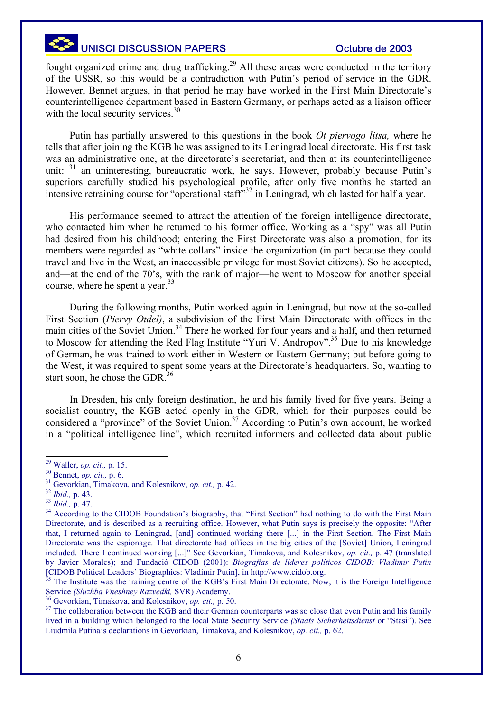

fought organized crime and drug trafficking.<sup>29</sup> All these areas were conducted in the territory of the USSR, so this would be a contradiction with Putin's period of service in the GDR. However, Bennet argues, in that period he [ma](#page-5-0)y have worked in the First Main Directorate's counterintelligence department based in Eastern Germany, or perhaps acted as a liaison officer with the local security services.<sup>30</sup>

Putin has partially answ[ere](#page-5-1)d to this questions in the book *Ot piervogo litsa,* where he tells that after joining the KGB he was assigned to its Leningrad local directorate. His first task was an administrative one, at the directorate's secretariat, and then at its counterintelligence unit:  $31$  an uninteresting, bureaucratic work, he says. However, probably because Putin's super[ior](#page-5-2)s carefully studied his psychological profile, after only five months he started an intensive retraining course for "operational staff"<sup>32</sup> in Leningrad, which lasted for half a year.

His performance seemed to attract the att[ent](#page-5-3)ion of the foreign intelligence directorate, who contacted him when he returned to his former office. Working as a "spy" was all Putin had desired from his childhood; entering the First Directorate was also a promotion, for its members were regarded as "white collars" inside the organization (in part because they could travel and live in the West, an inaccessible privilege for most Soviet citizens). So he accepted, and—at the end of the 70's, with the rank of major—he went to Moscow for another special course, where he spent a year.<sup>33</sup>

During the following m[on](#page-5-4)ths, Putin worked again in Leningrad, but now at the so-called First Section (*Piervy Otdel)*, a subdivision of the First Main Directorate with offices in the main cities of the Soviet Union.<sup>34</sup> There he worked for four years and a half, and then returned to Moscow for attending the R[ed](#page-5-5) Flag Institute "Yuri V. Andropov".<sup>35</sup> Due to his knowledge of German, he was trained to work either in Western or Eastern Ger[man](#page-5-6)y; but before going to the West, it was required to spent some years at the Directorate's headquarters. So, wanting to start soon, he chose the GDR.<sup>36</sup>

In Dresden, his only fo[rei](#page-5-7)gn destination, he and his family lived for five years. Being a socialist country, the KGB acted openly in the GDR, which for their purposes could be considered a "province" of the Soviet Union.<sup>37</sup> According to Putin's own account, he worked in a "political intelligence line", which recr[uit](#page-5-8)ed informers and collected data about public

The Institute was the training centre of the KGB's First Main Directorate. Now, it is the Foreign Intelligence Service *(Sluzhba Vneshney Razvedki,* SVR) Academy.<br><sup>36</sup> Gevorkian, Timakova, and Kolesnikov, *op. cit.*, p. 50.

<span id="page-5-6"></span>

<span id="page-5-0"></span>

<span id="page-5-2"></span><span id="page-5-1"></span>

<span id="page-5-5"></span><span id="page-5-4"></span><span id="page-5-3"></span>

<sup>&</sup>lt;sup>29</sup> Waller, *op. cit.*, p. 15.<br><sup>30</sup> Bennet, *op. cit.*, p. 6.<br><sup>31</sup> Gevorkian, Timakova, and Kolesnikov, *op. cit.*, p. 42.<br><sup>32</sup> Ibid., p. 43.<br><sup>33</sup> Ibid., p. 47.<br><sup>34</sup> According to the CIDOB Foundation's biography, that "F Directorate, and is described as a recruiting office. However, what Putin says is precisely the opposite: "After that, I returned again to Leningrad, [and] continued working there [...] in the First Section. The First Main Directorate was the espionage. That directorate had offices in the big cities of the [Soviet] Union, Leningrad included. There I continued working [...]" See Gevorkian, Timakova, and Kolesnikov, *op. cit.,* p. 47 (translated by Javier Morales); and Fundació CIDOB (2001): *Biografías de líderes políticos CIDOB: Vladimir Putin*

<span id="page-5-8"></span><span id="page-5-7"></span><sup>&</sup>lt;sup>37</sup> The collaboration between the KGB and their German counterparts was so close that even Putin and his family lived in a building which belonged to the local State Security Service *(Staats Sicherheitsdienst* or "Stasi"). See Liudmila Putina's declarations in Gevorkian, Timakova, and Kolesnikov, *op. cit.,* p. 62.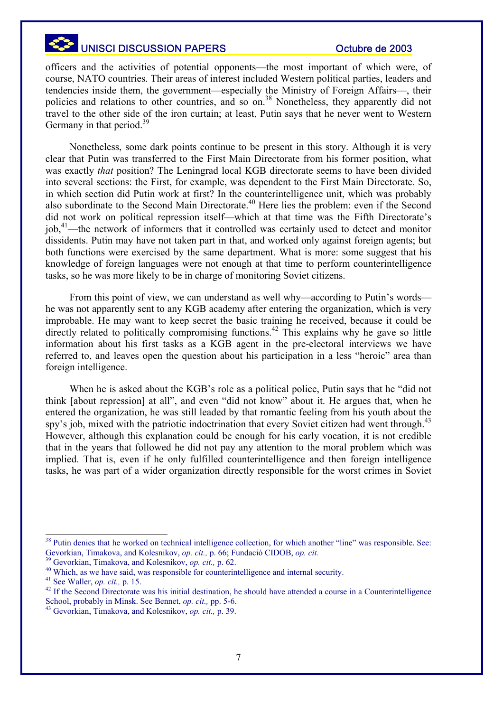officers and the activities of potential opponents—the most important of which were, of course, NATO countries. Their areas of interest included Western political parties, leaders and tendencies inside them, the government—especially the Ministry of Foreign Affairs—, their policies and relations to other countries, and so on.<sup>38</sup> Nonetheless, they apparently did not travel to the other side of the iron curtain; at least, [Put](#page-6-0)in says that he never went to Western Germany in that period.<sup>39</sup>

Nonetheless, som[e d](#page-6-1)ark points continue to be present in this story. Although it is very clear that Putin was transferred to the First Main Directorate from his former position, what was exactly *that* position? The Leningrad local KGB directorate seems to have been divided into several sections: the First, for example, was dependent to the First Main Directorate. So, in which section did Putin work at first? In the counterintelligence unit, which was probably also subordinate to the Second Main Directorate.<sup>40</sup> Here lies the problem: even if the Second did not work on political repression itself—wh[ich](#page-6-2) at that time was the Fifth Directorate's job,41—the network of informers that it controlled was certainly used to detect and monitor diss[ide](#page-6-3)nts. Putin may have not taken part in that, and worked only against foreign agents; but both functions were exercised by the same department. What is more: some suggest that his knowledge of foreign languages were not enough at that time to perform counterintelligence tasks, so he was more likely to be in charge of monitoring Soviet citizens.

From this point of view, we can understand as well why—according to Putin's words he was not apparently sent to any KGB academy after entering the organization, which is very improbable. He may want to keep secret the basic training he received, because it could be directly related to politically compromising functions.<sup>42</sup> This explains why he gave so little information about his first tasks as a KGB agent in [th](#page-6-4)e pre-electoral interviews we have referred to, and leaves open the question about his participation in a less "heroic" area than foreign intelligence.

When he is asked about the KGB's role as a political police, Putin says that he "did not think [about repression] at all", and even "did not know" about it. He argues that, when he entered the organization, he was still leaded by that romantic feeling from his youth about the spy's job, mixed with the patriotic indoctrination that every Soviet citizen had went through.<sup>43</sup> However, although this explanation could be enough for his early vocation, it is not credib[le](#page-6-5)  that in the years that followed he did not pay any attention to the moral problem which was implied. That is, even if he only fulfilled counterintelligence and then foreign intelligence tasks, he was part of a wider organization directly responsible for the worst crimes in Soviet

<span id="page-6-0"></span>

<sup>&</sup>lt;sup>38</sup> Putin denies that he worked on technical intelligence collection, for which another "line" was responsible. See: Gevorkian, Timakova, and Kolesnikov, *op. cit.*, p. 66; Fundació CIDOB, *op. cit.*<br><sup>39</sup> Gevorkian, Timakova, and Kolesnikov, *op. cit.*, p. 62.<br><sup>40</sup> Which, as we have said, was responsible for counterintelligence and inte

<span id="page-6-1"></span>

<span id="page-6-3"></span><span id="page-6-2"></span>School, probably in Minsk. See Bennet, *op. cit.,* pp. 5-6.

<span id="page-6-5"></span><span id="page-6-4"></span><sup>43</sup> Gevorkian, Timakova, and Kolesnikov, *op. cit.,* p. 39.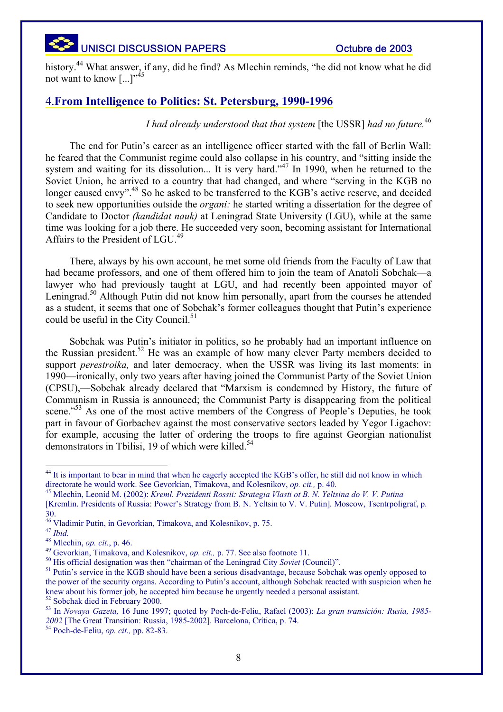

## UNISCI DISCUSSION PAPERS CONSIDERT CONSIDERED AND CONSIDER

history.<sup>44</sup> What answer, if any, did he find? As Mlechin reminds, "he did not know what he did not wa[nt t](#page-7-0)o know  $\left[\ldots\right]^{345}$ 

## 4.**From Intelligen[ce](#page-7-1) to Politics: St. Petersburg, 1990-1996**

### *I had already understood that that system* [the USSR] *had no future.*<sup>46</sup>

The end for Putin's career as an intelligence officer started with the fall of Berlin Wa[ll:](#page-7-2)  he feared that the Communist regime could also collapse in his country, and "sitting inside the system and waiting for its dissolution... It is very hard."<sup>47</sup> In 1990, when he returned to the Soviet Union, he arrived to a country that had changed, [an](#page-7-3)d where "serving in the KGB no longer caused envy".<sup>48</sup> So he asked to be transferred to the KGB's active reserve, and decided to seek new opportu[niti](#page-7-4)es outside the *organi:* he started writing a dissertation for the degree of Candidate to Doctor *(kandidat nauk)* at Leningrad State University (LGU), while at the same time was looking for a job there. He succeeded very soon, becoming assistant for International Affairs to the President of LGU.49

There, always by his own [ac](#page-7-5)count, he met some old friends from the Faculty of Law that had became professors, and one of them offered him to join the team of Anatoli Sobchak—a lawyer who had previously taught at LGU, and had recently been appointed mayor of Leningrad.<sup>50</sup> Although Putin did not know him personally, apart from the courses he attended as a stude[nt,](#page-7-6) it seems that one of Sobchak's former colleagues thought that Putin's experience could be useful in the City Council. $51$ 

Sobchak was Putin's initiato[r in](#page-7-7) politics, so he probably had an important influence on the Russian president.<sup>52</sup> He was an example of how many clever Party members decided to support *perestroika,* [and](#page-7-8) later democracy, when the USSR was living its last moments: in 1990—ironically, only two years after having joined the Communist Party of the Soviet Union (CPSU),—Sobchak already declared that "Marxism is condemned by History, the future of Communism in Russia is announced; the Communist Party is disappearing from the political scene."<sup>53</sup> As one of the most active members of the Congress of People's Deputies, he took part in [fa](#page-7-9)vour of Gorbachev against the most conservative sectors leaded by Yegor Ligachov: for example, accusing the latter of ordering the troops to fire against Georgian nationalist demonstrators in Tbilisi, 19 of which were killed.<sup>54</sup>

<sup>&</sup>lt;sup>44</sup> It is important to bear in mind that when he eagerly accepted the KGB's offer, he still did not know in which directorate he would work. See Gevorkian, Timakova, and Kolesnikov, *op. cit.,* p. 40. 45 Mlechin, Leonid M. (2002): *Kreml. Prezidenti Rossii: Strategia Vlasti ot B. N. Yeltsina do V. V. Putina*

<span id="page-7-0"></span>

<span id="page-7-1"></span><sup>[</sup>Kremlin. Presidents of Russia: Power's Strategy from B. N. Yeltsin to V. V. Putin]*.* Moscow, Tsentrpoligraf, p. 30.

<span id="page-7-3"></span><span id="page-7-2"></span>

<span id="page-7-4"></span>

<span id="page-7-6"></span><span id="page-7-5"></span>

<sup>&</sup>lt;sup>46</sup> Vladimir Putin, in Gevorkian, Timakova, and Kolesnikov, p. 75.<br><sup>47</sup> *Ibid.*<br><sup>48</sup> Mlechin, *op. cit.*, p. 46.<br><sup>49</sup> Gevorkian, Timakova, and Kolesnikov, *op. cit.*, p. 77. See also footnote 11.<br><sup>50</sup> His official designa the power of the security organs. According to Putin's account, although Sobchak reacted with suspicion when he knew about his former job, he accepted him because he urgently needed a personal assistant.<br><sup>52</sup> Sobchak died in February 2000.<br><sup>53</sup> In *Novaya Gazeta*, 16 June 1997; quoted by Poch-de-Feliu, Rafael (2003): *La gran transi* 

<span id="page-7-8"></span><span id="page-7-7"></span>*<sup>2002</sup>* [The Great Transition: Russia, 1985-2002]*.* Barcelona, Crítica, p. 74.

<span id="page-7-10"></span><span id="page-7-9"></span><sup>54</sup> Poch-de-Feliu, *op. cit.,* pp. 82-83.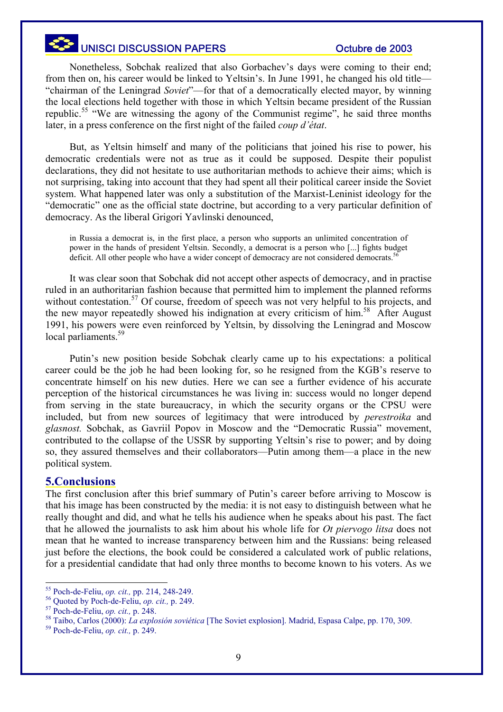Nonetheless, Sobchak realized that also Gorbachev's days were coming to their end; from then on, his career would be linked to Yeltsin's. In June 1991, he changed his old title— "chairman of the Leningrad *Soviet*"—for that of a democratically elected mayor, by winning the local elections held together with those in which Yeltsin became president of the Russian republic.<sup>55</sup> "We are witnessing the agony of the Communist regime", he said three months later, in [a p](#page-8-0)ress conference on the first night of the failed *coup d'état*.

But, as Yeltsin himself and many of the politicians that joined his rise to power, his democratic credentials were not as true as it could be supposed. Despite their populist declarations, they did not hesitate to use authoritarian methods to achieve their aims; which is not surprising, taking into account that they had spent all their political career inside the Soviet system. What happened later was only a substitution of the Marxist-Leninist ideology for the "democratic" one as the official state doctrine, but according to a very particular definition of democracy. As the liberal Grigori Yavlinski denounced,

in Russia a democrat is, in the first place, a person who supports an unlimited concentration of power in the hands of president Yeltsin. Secondly, a democrat is a person who [...] fights budget deficit. All other people who have a wider concept of democracy are not considered democrats.<sup>5</sup>

It was clear soon that Sobchak did not accept other aspects of democracy, and [in](#page-8-1) practise ruled in an authoritarian fashion because that permitted him to implement the planned reforms without contestation.<sup>57</sup> Of course, freedom of speech was not very helpful to his projects, and the new mayor repe[ate](#page-8-2)dly showed his indignation at every criticism of him.<sup>58</sup> After August 1991, his powers were even reinforced by Yeltsin, by dissolving the Lening[rad](#page-8-3) and Moscow local parliaments.<sup>59</sup>

Putin's ne[w p](#page-8-4)osition beside Sobchak clearly came up to his expectations: a political career could be the job he had been looking for, so he resigned from the KGB's reserve to concentrate himself on his new duties. Here we can see a further evidence of his accurate perception of the historical circumstances he was living in: success would no longer depend from serving in the state bureaucracy, in which the security organs or the CPSU were included, but from new sources of legitimacy that were introduced by *perestroika* and *glasnost.* Sobchak, as Gavriil Popov in Moscow and the "Democratic Russia" movement, contributed to the collapse of the USSR by supporting Yeltsin's rise to power; and by doing so, they assured themselves and their collaborators—Putin among them—a place in the new political system.

### **5.Conclusions**

The first conclusion after this brief summary of Putin's career before arriving to Moscow is that his image has been constructed by the media: it is not easy to distinguish between what he really thought and did, and what he tells his audience when he speaks about his past. The fact that he allowed the journalists to ask him about his whole life for *Ot piervogo litsa* does not mean that he wanted to increase transparency between him and the Russians: being released just before the elections, the book could be considered a calculated work of public relations, for a presidential candidate that had only three months to become known to his voters. As we

<span id="page-8-0"></span>

<span id="page-8-1"></span>

<sup>&</sup>lt;sup>55</sup> Poch-de-Feliu, *op. cit.*, pp. 214, 248-249.<br><sup>56</sup> Quoted by Poch-de-Feliu, *op. cit.*, p. 249.<br><sup>57</sup> Poch-de-Feliu, *op. cit.*, p. 248.<br><sup>58</sup> Taibo, Carlos (2000): *La explosión soviética* [The Soviet explosion]. Madri

<span id="page-8-4"></span><span id="page-8-3"></span><span id="page-8-2"></span><sup>59</sup> Poch-de-Feliu, *op. cit.,* p. 249.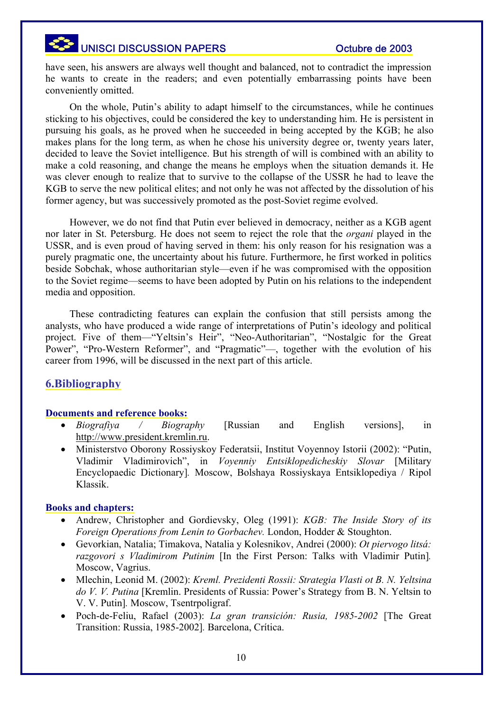have seen, his answers are always well thought and balanced, not to contradict the impression he wants to create in the readers; and even potentially embarrassing points have been conveniently omitted.

On the whole, Putin's ability to adapt himself to the circumstances, while he continues sticking to his objectives, could be considered the key to understanding him. He is persistent in pursuing his goals, as he proved when he succeeded in being accepted by the KGB; he also makes plans for the long term, as when he chose his university degree or, twenty years later, decided to leave the Soviet intelligence. But his strength of will is combined with an ability to make a cold reasoning, and change the means he employs when the situation demands it. He was clever enough to realize that to survive to the collapse of the USSR he had to leave the KGB to serve the new political elites; and not only he was not affected by the dissolution of his former agency, but was successively promoted as the post-Soviet regime evolved.

However, we do not find that Putin ever believed in democracy, neither as a KGB agent nor later in St. Petersburg. He does not seem to reject the role that the *organi* played in the USSR, and is even proud of having served in them: his only reason for his resignation was a purely pragmatic one, the uncertainty about his future. Furthermore, he first worked in politics beside Sobchak, whose authoritarian style—even if he was compromised with the opposition to the Soviet regime—seems to have been adopted by Putin on his relations to the independent media and opposition.

These contradicting features can explain the confusion that still persists among the analysts, who have produced a wide range of interpretations of Putin's ideology and political project. Five of them—"Yeltsin's Heir", "Neo-Authoritarian", "Nostalgic for the Great Power", "Pro-Western Reformer", and "Pragmatic"—, together with the evolution of his career from 1996, will be discussed in the next part of this article.

## **6.Bibliography**

### **Documents and reference books:**

- *Biografiya / Biography* [Russian and English versions], in http://www.president.kremlin.ru.
- Ministerstvo Oborony Rossiyskoy Federatsii, Institut Voyennoy Istorii (2002): "Putin, Vladimir Vladimirovich", in *Voyenniy Entsiklopedicheskiy Slovar* [Military Encyclopaedic Dictionary]*.* Moscow, Bolshaya Rossiyskaya Entsiklopediya / Ripol Klassik.

### **Books and chapters:**

- Andrew, Christopher and Gordievsky, Oleg (1991): *KGB: The Inside Story of its Foreign Operations from Lenin to Gorbachev.* London, Hodder & Stoughton.
- Gevorkian, Natalia; Timakova, Natalia y Kolesnikov, Andrei (2000): *Ot piervogo litsá: razgovori s Vladimirom Putinim* [In the First Person: Talks with Vladimir Putin]*.* Moscow, Vagrius.
- Mlechin, Leonid M. (2002): *Kreml. Prezidenti Rossii: Strategia Vlasti ot B. N. Yeltsina do V. V. Putina* [Kremlin. Presidents of Russia: Power's Strategy from B. N. Yeltsin to V. V. Putin]*.* Moscow, Tsentrpoligraf.
- Poch-de-Feliu, Rafael (2003): *La gran transición: Rusia, 1985-2002* [The Great Transition: Russia, 1985-2002]*.* Barcelona, Crítica.